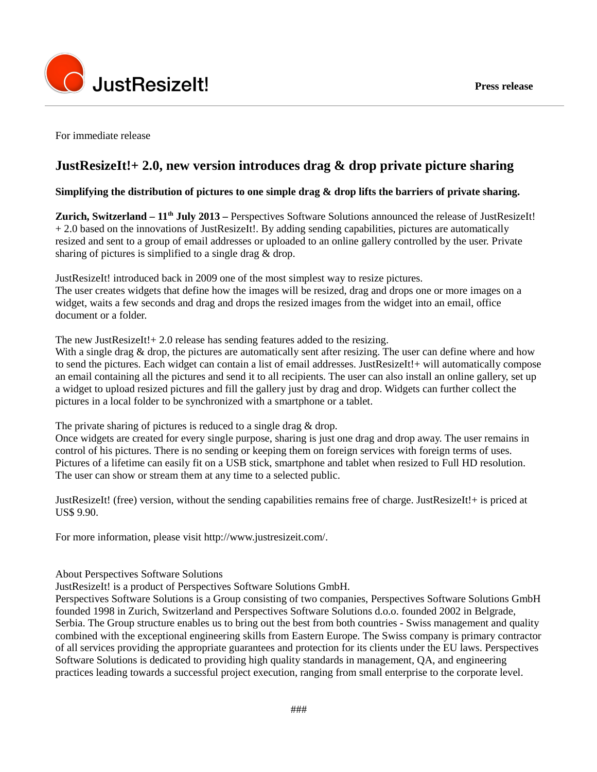

For immediate release

## **JustResizeIt!+ 2.0, new version introduces drag & drop private picture sharing**

## **Simplifying the distribution of pictures to one simple drag & drop lifts the barriers of private sharing.**

**Zurich, Switzerland – 11th July 2013 –** Perspectives Software Solutions announced the release of JustResizeIt! + 2.0 based on the innovations of JustResizeIt!. By adding sending capabilities, pictures are automatically resized and sent to a group of email addresses or uploaded to an online gallery controlled by the user. Private sharing of pictures is simplified to a single drag & drop.

JustResizeIt! introduced back in 2009 one of the most simplest way to resize pictures. The user creates widgets that define how the images will be resized, drag and drops one or more images on a widget, waits a few seconds and drag and drops the resized images from the widget into an email, office document or a folder.

The new JustResizeIt! + 2.0 release has sending features added to the resizing.

With a single drag & drop, the pictures are automatically sent after resizing. The user can define where and how to send the pictures. Each widget can contain a list of email addresses. JustResizeIt!+ will automatically compose an email containing all the pictures and send it to all recipients. The user can also install an online gallery, set up a widget to upload resized pictures and fill the gallery just by drag and drop. Widgets can further collect the pictures in a local folder to be synchronized with a smartphone or a tablet.

The private sharing of pictures is reduced to a single drag & drop.

Once widgets are created for every single purpose, sharing is just one drag and drop away. The user remains in control of his pictures. There is no sending or keeping them on foreign services with foreign terms of uses. Pictures of a lifetime can easily fit on a USB stick, smartphone and tablet when resized to Full HD resolution. The user can show or stream them at any time to a selected public.

JustResizeIt! (free) version, without the sending capabilities remains free of charge. JustResizeIt!+ is priced at US\$ 9.90.

For more information, please visit http://www.justresizeit.com/.

About Perspectives Software Solutions

JustResizeIt! is a product of Perspectives Software Solutions GmbH.

Perspectives Software Solutions is a Group consisting of two companies, Perspectives Software Solutions GmbH founded 1998 in Zurich, Switzerland and Perspectives Software Solutions d.o.o. founded 2002 in Belgrade, Serbia. The Group structure enables us to bring out the best from both countries - Swiss management and quality combined with the exceptional engineering skills from Eastern Europe. The Swiss company is primary contractor of all services providing the appropriate guarantees and protection for its clients under the EU laws. Perspectives Software Solutions is dedicated to providing high quality standards in management, QA, and engineering practices leading towards a successful project execution, ranging from small enterprise to the corporate level.